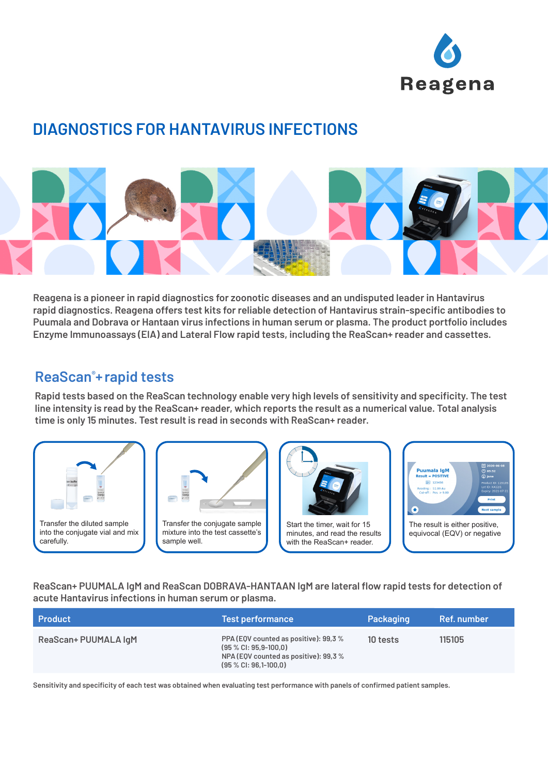

# **DIAGNOSTICS FOR HANTAVIRUS INFECTIONS**



**Reagena is a pioneer in rapid diagnostics for zoonotic diseases and an undisputed leader in Hantavirus rapid diagnostics. Reagena offers test kits for reliable detection of Hantavirus strain-specific antibodies to Puumala and Dobrava or Hantaan virus infections in human serum or plasma. The product portfolio includes Enzyme Immunoassays (EIA) and Lateral Flow rapid tests, including the ReaScan+ reader and cassettes.**

### **ReaScan® +rapid tests**

**Rapid tests based on the ReaScan technology enable very high levels of sensitivity and specificity. The test line intensity is read by the ReaScan+ reader, which reports the result as a numerical value. Total analysis time is only 15 minutes. Test result is read in seconds with ReaScan+ reader.**



**ReaScan+ PUUMALA IgM and ReaScan DOBRAVA-HANTAAN IgM are lateral flow rapid tests for detection of acute Hantavirus infections in human serum or plasma.** 

| <b>Product</b>       | <b>Test performance</b>                                                                                                                | Packaging | Ref. number |
|----------------------|----------------------------------------------------------------------------------------------------------------------------------------|-----------|-------------|
| ReaScan+ PUUMALA IgM | PPA (EQV counted as positive): 99,3 %<br>$(95 % CI: 95.9-100.0)$<br>NPA (EQV counted as positive): 99,3 %<br>$(95 % CI: 96, 1-100, 0)$ | 10 tests  | 115105      |

**Sensitivity and specificity of each test was obtained when evaluating test performance with panels of confirmed patient samples.**